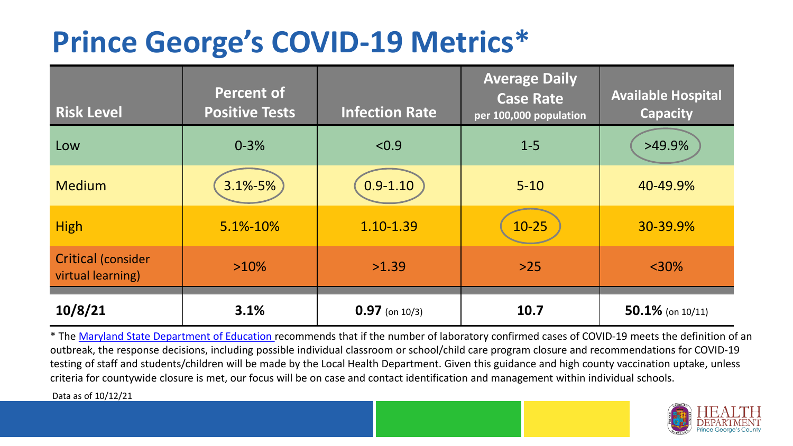## **Prince George's COVID-19 Metrics\***

| <b>Risk Level</b>                              | <b>Percent of</b><br><b>Positive Tests</b> | <b>Infection Rate</b> | <b>Average Daily</b><br><b>Case Rate</b><br>per 100,000 population | <b>Available Hospital</b><br><b>Capacity</b> |
|------------------------------------------------|--------------------------------------------|-----------------------|--------------------------------------------------------------------|----------------------------------------------|
| Low                                            | $0 - 3%$                                   | < 0.9                 | $1 - 5$                                                            | $>49.9\%$                                    |
| <b>Medium</b>                                  | $3.1\% - 5\%$                              | $0.9 - 1.10$          | $5 - 10$                                                           | 40-49.9%                                     |
| <b>High</b>                                    | 5.1%-10%                                   | 1.10-1.39             | $10 - 25$                                                          | 30-39.9%                                     |
| <b>Critical (consider</b><br>virtual learning) | $>10\%$                                    | >1.39                 | $>25$                                                              | $<$ 30%                                      |
| 10/8/21                                        | 3.1%                                       | $0.97$ (on 10/3)      | 10.7                                                               | $50.1\%$ (on 10/11)                          |

\* The [Maryland State Department of Education r](https://earlychildhood.marylandpublicschools.org/system/files/filedepot/3/covid_guidance_full_080420.pdf)ecommends that if the number of laboratory confirmed cases of COVID-19 meets the definition of an outbreak, the response decisions, including possible individual classroom or school/child care program closure and recommendations for COVID-19 testing of staff and students/children will be made by the Local Health Department. Given this guidance and high county vaccination uptake, unless criteria for countywide closure is met, our focus will be on case and contact identification and management within individual schools.

Data as of 10/12/21

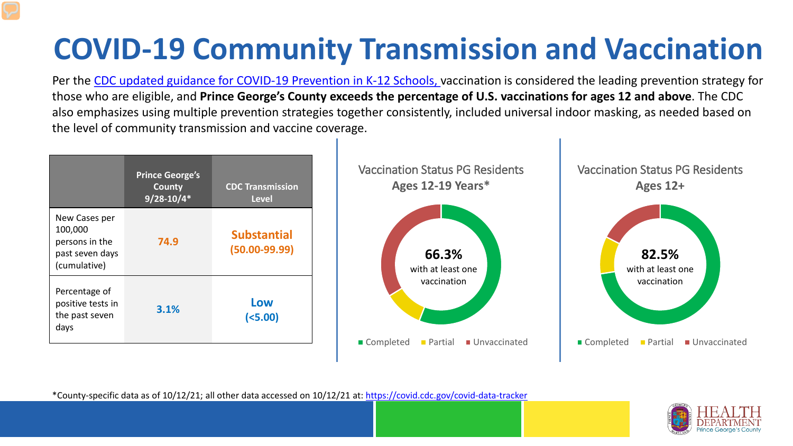# **COVID-19 Community Transmission and Vaccination**

Per the [CDC updated guidance for COVID-19 Prevention in K-12 Schools,](https://www.cdc.gov/coronavirus/2019-ncov/community/schools-childcare/k-12-guidance.html) vaccination is considered the leading prevention strategy for those who are eligible, and **Prince George's County exceeds the percentage of U.S. vaccinations for ages 12 and above**. The CDC also emphasizes using multiple prevention strategies together consistently, included universal indoor masking, as needed based on the level of community transmission and vaccine coverage.



\*County-specific data as of 10/12/21; all other data accessed on 10/12/21 at: <https://covid.cdc.gov/covid-data-tracker>

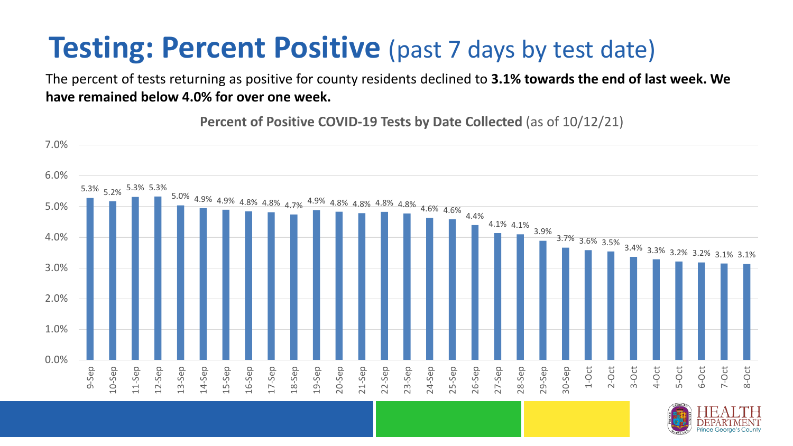### **Testing: Percent Positive** (past 7 days by test date)

The percent of tests returning as positive for county residents declined to **3.1% towards the end of last week. We have remained below 4.0% for over one week.**

**Percent of Positive COVID-19 Tests by Date Collected** (as of 10/12/21)



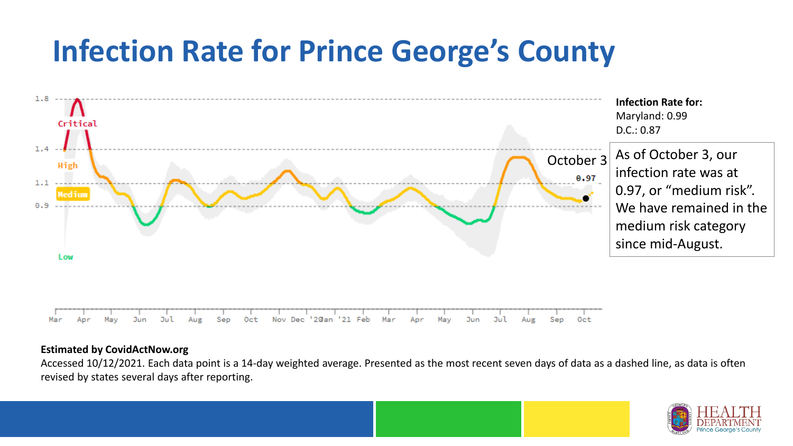### **Infection Rate for Prince George's County**



#### **Estimated by CovidActNow.org**

Accessed 10/12/2021. Each data point is a 14-day weighted average. Presented as the most recent seven days of data as a dashed line, as data is often revised by states several days after reporting.

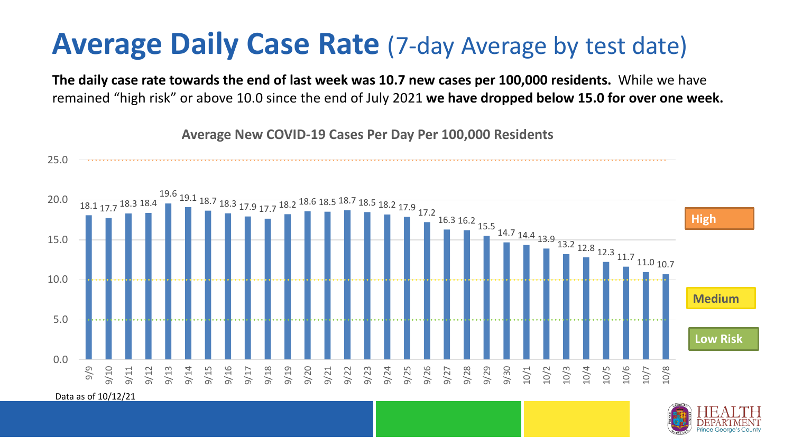#### **Average Daily Case Rate** (7-day Average by test date)

**The daily case rate towards the end of last week was 10.7 new cases per 100,000 residents.** While we have remained "high risk" or above 10.0 since the end of July 2021 **we have dropped below 15.0 for over one week.** 

18.1 17.7 18.3 18.4 19.6 19.1 18.7 18.3 17.9 17.7 18.2 18.6 18.5 18.7 18.5 18.2 17.9 17.2 16.3 16.2 15.5 14.7 14.4 13.9 13.2 12.8 12.3 11.7 11.0 10.7 0.0 5.0 10.0 15.0 20.0 25.0 9/9 9/10 9/11 9/12 9/13 9/14 9/15 9/16 9/17 9/18 9/19 9/20 9/21 9/22 9/23 9/24 9/25 9/26 9/27 9/28 9/29 9/30 10/1 10/2 10/3 10/4 10/5 10/6 10/7 10/8 **Low Risk**  Data as of 10/12/21 **Medium High**

**Average New COVID-19 Cases Per Day Per 100,000 Residents**